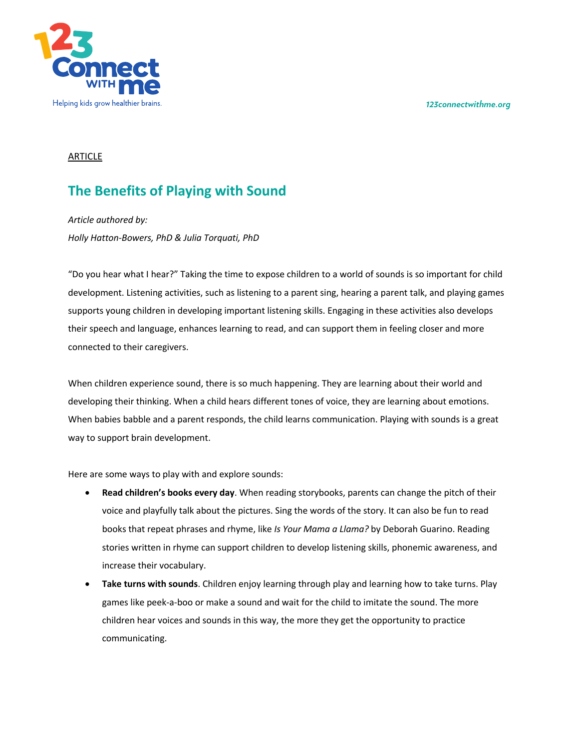*123connectwithme.org*



# ARTICLE

# **The Benefits of Playing with Sound**

*Article authored by: Holly Hatton-Bowers, PhD & Julia Torquati, PhD*

"Do you hear what I hear?" Taking the time to expose children to a world of sounds is so important for child development. Listening activities, such as listening to a parent sing, hearing a parent talk, and playing games supports young children in developing important listening skills. Engaging in these activities also develops their speech and language, enhances learning to read, and can support them in feeling closer and more connected to their caregivers.

When children experience sound, there is so much happening. They are learning about their world and developing their thinking. When a child hears different tones of voice, they are learning about emotions. When babies babble and a parent responds, the child learns communication. Playing with sounds is a great way to support brain development.

Here are some ways to play with and explore sounds:

- **Read children's books every day**. When reading storybooks, parents can change the pitch of their voice and playfully talk about the pictures. Sing the words of the story. It can also be fun to read books that repeat phrases and rhyme, like *Is Your Mama a Llama?* by Deborah Guarino. Reading stories written in rhyme can support children to develop listening skills, phonemic awareness, and increase their vocabulary.
- **Take turns with sounds**. Children enjoy learning through play and learning how to take turns. Play games like peek-a-boo or make a sound and wait for the child to imitate the sound. The more children hear voices and sounds in this way, the more they get the opportunity to practice communicating.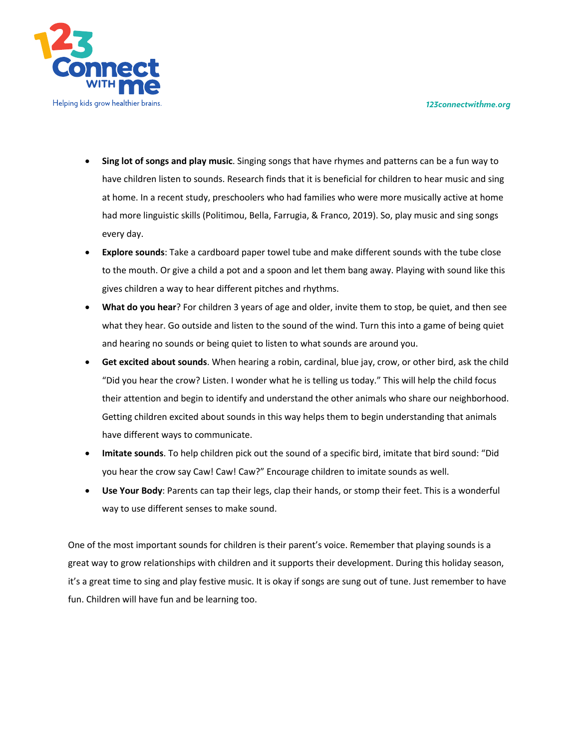*123connectwithme.org*



- **Sing lot of songs and play music**. Singing songs that have rhymes and patterns can be a fun way to have children listen to sounds. Research finds that it is beneficial for children to hear music and sing at home. In a recent study, preschoolers who had families who were more musically active at home had more linguistic skills (Politimou, Bella, Farrugia, & Franco, 2019). So, play music and sing songs every day.
- **Explore sounds**: Take a cardboard paper towel tube and make different sounds with the tube close to the mouth. Or give a child a pot and a spoon and let them bang away. Playing with sound like this gives children a way to hear different pitches and rhythms.
- **What do you hear**? For children 3 years of age and older, invite them to stop, be quiet, and then see what they hear. Go outside and listen to the sound of the wind. Turn this into a game of being quiet and hearing no sounds or being quiet to listen to what sounds are around you.
- **Get excited about sounds**. When hearing a robin, cardinal, blue jay, crow, or other bird, ask the child "Did you hear the crow? Listen. I wonder what he is telling us today." This will help the child focus their attention and begin to identify and understand the other animals who share our neighborhood. Getting children excited about sounds in this way helps them to begin understanding that animals have different ways to communicate.
- **Imitate sounds**. To help children pick out the sound of a specific bird, imitate that bird sound: "Did you hear the crow say Caw! Caw! Caw?" Encourage children to imitate sounds as well.
- **Use Your Body**: Parents can tap their legs, clap their hands, or stomp their feet. This is a wonderful way to use different senses to make sound.

One of the most important sounds for children is their parent's voice. Remember that playing sounds is a great way to grow relationships with children and it supports their development. During this holiday season, it's a great time to sing and play festive music. It is okay if songs are sung out of tune. Just remember to have fun. Children will have fun and be learning too.